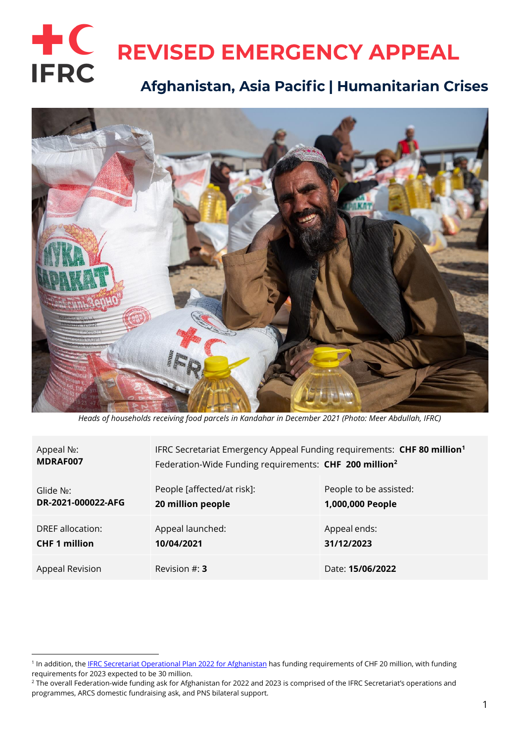# $+C$ **REVISED EMERGENCY APPEAL IFRC** Afghanistan, Asia Pacific | Humanitarian Crises



*Heads of households receiving food parcels in Kandahar in December 2021 (Photo: Meer Abdullah, IFRC)*

| Appeal No:             | IFRC Secretariat Emergency Appeal Funding requirements: CHF 80 million <sup>1</sup> |                        |
|------------------------|-------------------------------------------------------------------------------------|------------------------|
| MDRAF007               | Federation-Wide Funding requirements: CHF 200 million <sup>2</sup>                  |                        |
| Glide N <sub>o</sub> : | People [affected/at risk]:                                                          | People to be assisted: |
| DR-2021-000022-AFG     | 20 million people                                                                   | 1,000,000 People       |
| DREF allocation:       | Appeal launched:                                                                    | Appeal ends:           |
| <b>CHF 1 million</b>   | 10/04/2021                                                                          | 31/12/2023             |
| Appeal Revision        | Revision $\#$ : 3                                                                   | Date: 15/06/2022       |

<sup>&</sup>lt;sup>1</sup> In addition, the IFRC Secretariat [Operational Plan 2022](https://www.ifrc.org/document/afghanistan-plan-2022) for Afghanistan has funding requirements of CHF 20 million, with funding requirements for 2023 expected to be 30 million.

<sup>&</sup>lt;sup>2</sup> The overall Federation-wide funding ask for Afghanistan for 2022 and 2023 is comprised of the IFRC Secretariat's operations and programmes, ARCS domestic fundraising ask, and PNS bilateral support.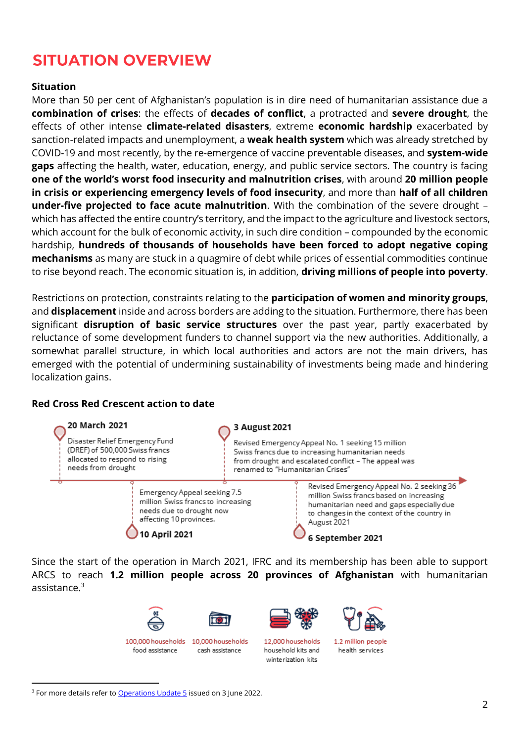# **SITUATION OVERVIEW**

### **Situation**

More than 50 per cent of Afghanistan's population is in dire need of humanitarian assistance due a **combination of crises**: the effects of **decades of conflict**, a protracted and **severe drought**, the effects of other intense **climate-related disasters**, extreme **economic hardship** exacerbated by sanction-related impacts and unemployment, a **weak health system** which was already stretched by COVID-19 and most recently, by the re-emergence of vaccine preventable diseases, and **system-wide gaps** affecting the health, water, education, energy, and public service sectors. The country is facing **one of the world's worst food insecurity and malnutrition crises**, with around **20 million people in crisis or experiencing emergency levels of food insecurity**, and more than **half of all children under-five projected to face acute malnutrition**. With the combination of the severe drought – which has affected the entire country's territory, and the impact to the agriculture and livestock sectors, which account for the bulk of economic activity, in such dire condition – compounded by the economic hardship, **hundreds of thousands of households have been forced to adopt negative coping mechanisms** as many are stuck in a quagmire of debt while prices of essential commodities continue to rise beyond reach. The economic situation is, in addition, **driving millions of people into poverty**.

Restrictions on protection, constraints relating to the **participation of women and minority groups**, and **displacement** inside and across borders are adding to the situation. Furthermore, there has been significant **disruption of basic service structures** over the past year, partly exacerbated by reluctance of some development funders to channel support via the new authorities. Additionally, a somewhat parallel structure, in which local authorities and actors are not the main drivers, has emerged with the potential of undermining sustainability of investments being made and hindering localization gains.

#### **Red Cross Red Crescent action to date**



Since the start of the operation in March 2021, IFRC and its membership has been able to support ARCS to reach **1.2 million people across 20 provinces of Afghanistan** with humanitarian assistance.<sup>3</sup>

cash assistance



100.000 households 10.000 households food assistance



12,000 house holds household kits and winterization kits



1.2 million neonle health services

<sup>&</sup>lt;sup>3</sup> For more details refer to [Operations Update 5](https://adore.ifrc.org/Download.aspx?FileId=535606) issued on 3 June 2022.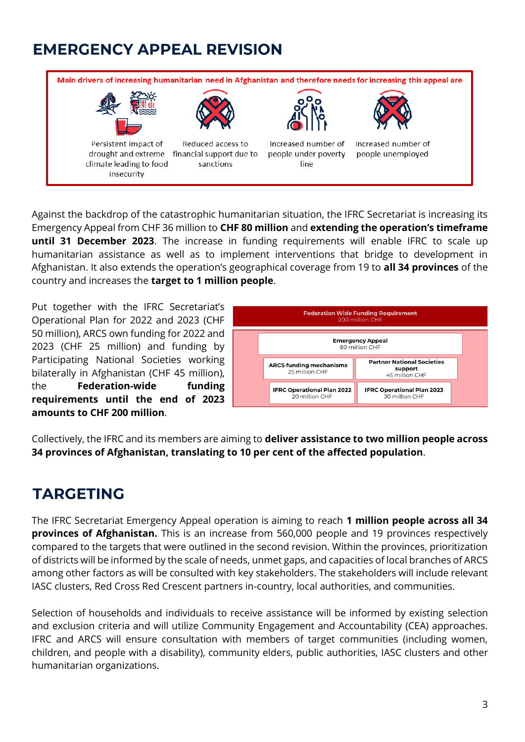# **EMERGENCY APPEAL REVISION**



Against the backdrop of the catastrophic humanitarian situation, the IFRC Secretariat is increasing its Emergency Appeal from CHF 36 million to **CHF 80 million** and **extending the operation's timeframe until 31 December 2023**. The increase in funding requirements will enable IFRC to scale up humanitarian assistance as well as to implement interventions that bridge to development in Afghanistan. It also extends the operation's geographical coverage from 19 to **all 34 provinces** of the country and increases the **target to 1 million people**.

Put together with the IFRC Secretariat's Operational Plan for 2022 and 2023 (CHF 50 million), ARCS own funding for 2022 and 2023 (CHF 25 million) and funding by Participating National Societies working bilaterally in Afghanistan (CHF 45 million), the **Federation-wide funding requirements until the end of 2023 amounts to CHF 200 million**.



Collectively, the IFRC and its members are aiming to **deliver assistance to two million people across 34 provinces of Afghanistan, translating to 10 per cent of the affected population**.

# **TARGETING**

The IFRC Secretariat Emergency Appeal operation is aiming to reach **1 million people across all 34 provinces of Afghanistan.** This is an increase from 560,000 people and 19 provinces respectively compared to the targets that were outlined in the second revision. Within the provinces, prioritization of districts will be informed by the scale of needs, unmet gaps, and capacities of local branches of ARCS among other factors as will be consulted with key stakeholders. The stakeholders will include relevant IASC clusters, Red Cross Red Crescent partners in-country, local authorities, and communities.

Selection of households and individuals to receive assistance will be informed by existing selection and exclusion criteria and will utilize Community Engagement and Accountability (CEA) approaches. IFRC and ARCS will ensure consultation with members of target communities (including women, children, and people with a disability), community elders, public authorities, IASC clusters and other humanitarian organizations.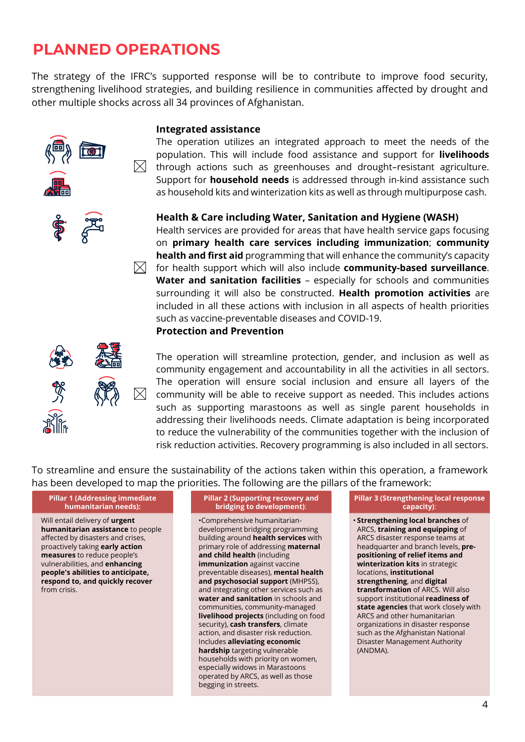# **PLANNED OPERATIONS**

The strategy of the IFRC's supported response will be to contribute to improve food security, strengthening livelihood strategies, and building resilience in communities affected by drought and other multiple shocks across all 34 provinces of Afghanistan.

#### **Integrated assistance**

The operation utilizes an integrated approach to meet the needs of the population. This will include food assistance and support for **livelihoods**  $\boxtimes$  -through actions such as greenhouses and drought–resistant agriculture. Support for **household needs** is addressed through in-kind assistance such as household kits and winterization kits as well as through multipurpose cash.

## **Health & Care including Water, Sanitation and Hygiene (WASH)**

Health services are provided for areas that have health service gaps focusing on **primary health care services including immunization**; **community health and first aid** programming that will enhance the community's capacity  $\boxtimes$  for health support which will also include **community-based surveillance**. **Water and sanitation facilities** – especially for schools and communities surrounding it will also be constructed. **Health promotion activities** are included in all these actions with inclusion in all aspects of health priorities such as vaccine-preventable diseases and COVID-19.

#### **Protection and Prevention**



The operation will streamline protection, gender, and inclusion as well as community engagement and accountability in all the activities in all sectors. The operation will ensure social inclusion and ensure all layers of the community will be able to receive support as needed. This includes actions such as supporting marastoons as well as single parent households in addressing their livelihoods needs. Climate adaptation is being incorporated to reduce the vulnerability of the communities together with the inclusion of risk reduction activities. Recovery programming is also included in all sectors.

To streamline and ensure the sustainability of the actions taken within this operation, a framework has been developed to map the priorities. The following are the pillars of the framework:

#### **Pillar 1 (Addressing immediate humanitarian needs):**

Will entail delivery of **urgent humanitarian assistance** to people affected by disasters and crises, proactively taking **early action measures** to reduce people's vulnerabilities, and **enhancing people's abilities to anticipate, respond to, and quickly recover** from crisis.

#### **Pillar 2 (Supporting recovery and bridging to development)**:

•Comprehensive humanitariandevelopment bridging programming building around **health services** with primary role of addressing **maternal and child health** (including **immunization** against vaccine preventable diseases), **mental health and psychosocial support** (MHPSS), and integrating other services such as **water and sanitation** in schools and communities, community-managed **livelihood projects** (including on food security), **cash transfers**, climate action, and disaster risk reduction. Includes **alleviating economic hardship** targeting vulnerable households with priority on women, especially widows in Marastoons operated by ARCS, as well as those begging in streets.

#### **Pillar 3 (Strengthening local response capacity)**:

• **Strengthening local branches** of ARCS, **training and equipping** of ARCS disaster response teams at headquarter and branch levels, **prepositioning of relief items and winterization kits** in strategic locations, **institutional strengthening**, and **digital transformation** of ARCS. Will also support institutional **readiness of state agencies** that work closely with ARCS and other humanitarian organizations in disaster response such as the Afghanistan National Disaster Management Authority (ANDMA).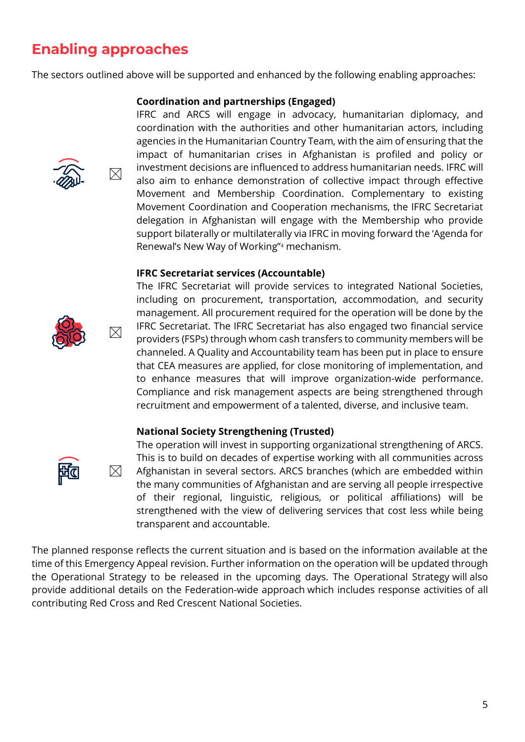# **Enabling approaches**

 $\boxtimes$ 

 $\boxtimes$ 

 $\boxtimes$ 

The sectors outlined above will be supported and enhanced by the following enabling approaches:

### **Coordination and partnerships (Engaged)**

IFRC and ARCS will engage in advocacy, humanitarian diplomacy, and coordination with the authorities and other humanitarian actors, including agencies in the Humanitarian Country Team, with the aim of ensuring that the impact of humanitarian crises in Afghanistan is profiled and policy or investment decisions are influenced to address humanitarian needs. IFRC will also aim to enhance demonstration of collective impact through effective Movement and Membership Coordination. Complementary to existing Movement Coordination and Cooperation mechanisms, the IFRC Secretariat delegation in Afghanistan will engage with the Membership who provide support bilaterally or multilaterally via IFRC in moving forward the 'Agenda for Renewal's New Way of Working"<sup>4</sup> mechanism.

#### **IFRC Secretariat services (Accountable)**



The IFRC Secretariat will provide services to integrated National Societies, including on procurement, transportation, accommodation, and security management. All procurement required for the operation will be done by the IFRC Secretariat. The IFRC Secretariat has also engaged two financial service providers (FSPs) through whom cash transfers to community members will be channeled. A Quality and Accountability team has been put in place to ensure that CEA measures are applied, for close monitoring of implementation, and to enhance measures that will improve organization-wide performance. Compliance and risk management aspects are being strengthened through recruitment and empowerment of a talented, diverse, and inclusive team.

### **National Society Strengthening (Trusted)**



The operation will invest in supporting organizational strengthening of ARCS. This is to build on decades of expertise working with all communities across Afghanistan in several sectors. ARCS branches (which are embedded within the many communities of Afghanistan and are serving all people irrespective of their regional, linguistic, religious, or political affiliations) will be strengthened with the view of delivering services that cost less while being transparent and accountable.

The planned response reflects the current situation and is based on the information available at the time of this Emergency Appeal revision. Further information on the operation will be updated through the Operational Strategy to be released in the upcoming days. The Operational Strategy will also provide additional details on the Federation-wide approach which includes response activities of all contributing Red Cross and Red Crescent National Societies.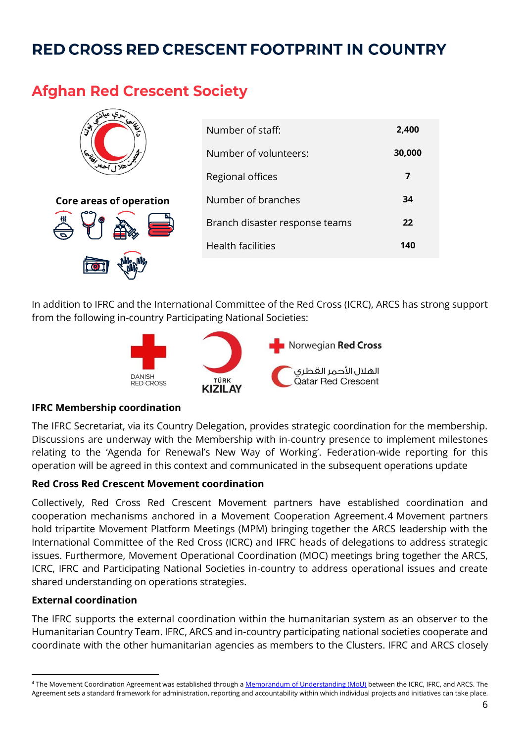# **RED CROSS RED CRESCENT FOOTPRINT IN COUNTRY**

## **Afghan Red Crescent Society**

| ञ<br>$\bullet$                 | Number of staff:               | 2,400  |
|--------------------------------|--------------------------------|--------|
| 16.65                          | Number of volunteers:          | 30,000 |
| T<br>آهلا                      | Regional offices               |        |
| <b>Core areas of operation</b> | Number of branches             | 34     |
|                                | Branch disaster response teams | 22     |
|                                | <b>Health facilities</b>       | 140    |
|                                |                                |        |

In addition to IFRC and the International Committee of the Red Cross (ICRC), ARCS has strong support from the following in-country Participating National Societies:



### **IFRC Membership coordination**

The IFRC Secretariat, via its Country Delegation, provides strategic coordination for the membership. Discussions are underway with the Membership with in-country presence to implement milestones relating to the 'Agenda for Renewal's New Way of Working'. Federation-wide reporting for this operation will be agreed in this context and communicated in the subsequent operations update

### **Red Cross Red Crescent Movement coordination**

Collectively, Red Cross Red Crescent Movement partners have established coordination and cooperation mechanisms anchored in a Movement Cooperation Agreement.4 Movement partners hold tripartite Movement Platform Meetings (MPM) bringing together the ARCS leadership with the International Committee of the Red Cross (ICRC) and IFRC heads of delegations to address strategic issues. Furthermore, Movement Operational Coordination (MOC) meetings bring together the ARCS, ICRC, IFRC and Participating National Societies in-country to address operational issues and create shared understanding on operations strategies.

### **External coordination**

The IFRC supports the external coordination within the humanitarian system as an observer to the Humanitarian Country Team. IFRC, ARCS and in-country participating national societies cooperate and coordinate with the other humanitarian agencies as members to the Clusters. IFRC and ARCS closely

<sup>&</sup>lt;sup>4</sup> The Movement Coordination Agreement was established through [a Memorandum of Understanding \(MoU\)](https://www.icrc.org/en/document/afghanistan-milestone-35-years) between the ICRC, IFRC, and ARCS. The Agreement sets a standard framework for administration, reporting and accountability within which individual projects and initiatives can take place.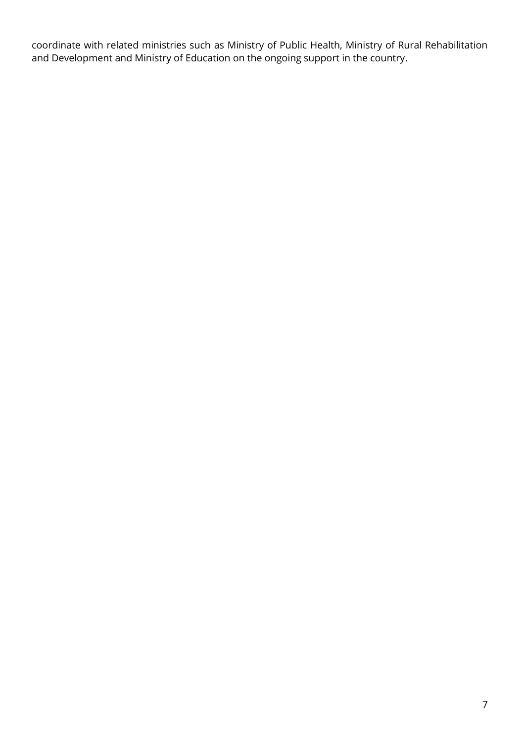coordinate with related ministries such as Ministry of Public Health, Ministry of Rural Rehabilitation and Development and Ministry of Education on the ongoing support in the country.